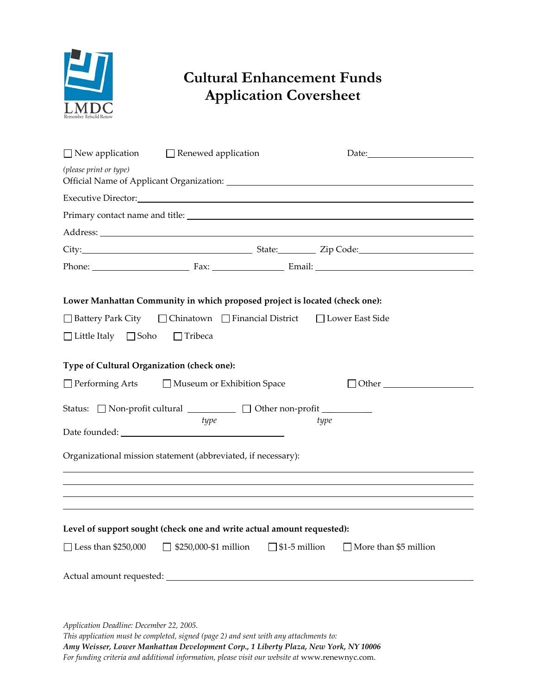

## **Cultural Enhancement Funds Application Coversheet**

|                                            | $\Box$ New application $\Box$ Renewed application                                                                                                                                                                              |      |                                                                                                                                                                                                                               |
|--------------------------------------------|--------------------------------------------------------------------------------------------------------------------------------------------------------------------------------------------------------------------------------|------|-------------------------------------------------------------------------------------------------------------------------------------------------------------------------------------------------------------------------------|
| (please print or type)                     |                                                                                                                                                                                                                                |      |                                                                                                                                                                                                                               |
|                                            | Executive Director: New York Contract Contract Contract Contract Contract Contract Contract Contract Contract Contract Contract Contract Contract Contract Contract Contract Contract Contract Contract Contract Contract Cont |      |                                                                                                                                                                                                                               |
|                                            |                                                                                                                                                                                                                                |      |                                                                                                                                                                                                                               |
|                                            |                                                                                                                                                                                                                                |      |                                                                                                                                                                                                                               |
|                                            |                                                                                                                                                                                                                                |      | City: City: City: City: City: City: City: Code: City: Code: City: Code: City: Code: City: Code: City: Code: City: Code: City: Code: City: Code: City: City: Code: City: City: City: City: City: City: City: City: City: City: |
|                                            |                                                                                                                                                                                                                                |      |                                                                                                                                                                                                                               |
| $\Box$ Little Italy $\Box$ Soho            | Lower Manhattan Community in which proposed project is located (check one):<br>□ Battery Park City □ Chinatown □ Financial District □ Lower East Side<br>$\Box$ Tribeca                                                        |      |                                                                                                                                                                                                                               |
| Type of Cultural Organization (check one): | □ Performing Arts □ Museum or Exhibition Space                                                                                                                                                                                 |      | $\Box$ Other $\Box$                                                                                                                                                                                                           |
|                                            | Status: Non-profit cultural ___________ Other non-profit _________<br>type                                                                                                                                                     | type |                                                                                                                                                                                                                               |
|                                            | Organizational mission statement (abbreviated, if necessary):                                                                                                                                                                  |      |                                                                                                                                                                                                                               |
| $\Box$ Less than \$250,000                 | Level of support sought (check one and write actual amount requested):<br>$\Box$ \$250,000-\$1 million                                                                                                                         |      | $\Box$ \$1-5 million $\Box$ More than \$5 million                                                                                                                                                                             |
|                                            |                                                                                                                                                                                                                                |      |                                                                                                                                                                                                                               |

*Application Deadline: December 22, 2005.* 

*This application must be completed, signed (page 2) and sent with any attachments to: Amy Weisser, Lower Manhattan Development Corp., 1 Liberty Plaza, New York, NY 10006 For funding criteria and additional information, please visit our website at* www.renewnyc.com.